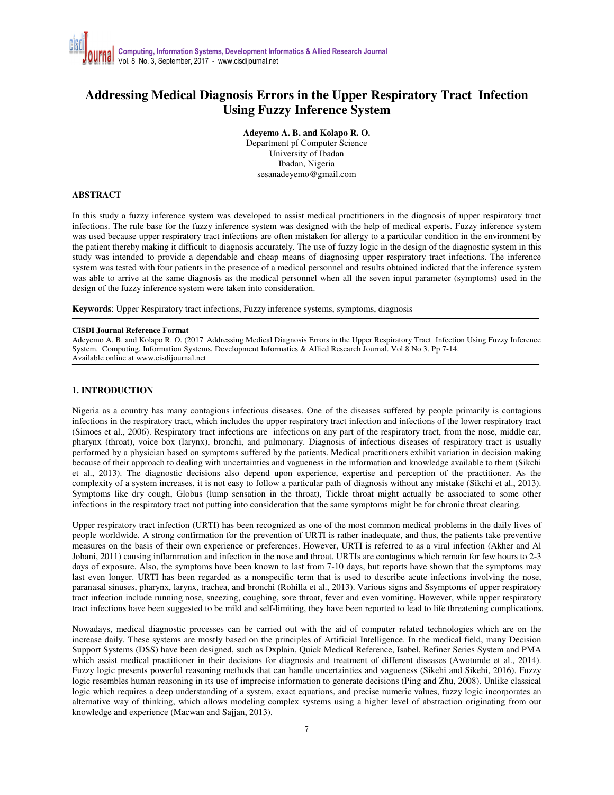## **Addressing Medical Diagnosis Errors in the Upper Respiratory Tract Infection Using Fuzzy Inference System**

**Adeyemo A. B. and Kolapo R. O.** 

Department pf Computer Science University of Ibadan Ibadan, Nigeria sesanadeyemo@gmail.com

#### **ABSTRACT**

In this study a fuzzy inference system was developed to assist medical practitioners in the diagnosis of upper respiratory tract infections. The rule base for the fuzzy inference system was designed with the help of medical experts. Fuzzy inference system was used because upper respiratory tract infections are often mistaken for allergy to a particular condition in the environment by the patient thereby making it difficult to diagnosis accurately. The use of fuzzy logic in the design of the diagnostic system in this study was intended to provide a dependable and cheap means of diagnosing upper respiratory tract infections. The inference system was tested with four patients in the presence of a medical personnel and results obtained indicted that the inference system was able to arrive at the same diagnosis as the medical personnel when all the seven input parameter (symptoms) used in the design of the fuzzy inference system were taken into consideration.

**Keywords**: Upper Respiratory tract infections, Fuzzy inference systems, symptoms, diagnosis

#### **CISDI Journal Reference Format**

Adeyemo A. B. and Kolapo R. O. (2017 Addressing Medical Diagnosis Errors in the Upper Respiratory Tract Infection Using Fuzzy Inference System. Computing, Information Systems, Development Informatics & Allied Research Journal. Vol 8 No 3. Pp 7-14. Available online at www.cisdijournal.net

#### **1. INTRODUCTION**

Nigeria as a country has many contagious infectious diseases. One of the diseases suffered by people primarily is contagious infections in the respiratory tract, which includes the upper respiratory tract infection and infections of the lower respiratory tract (Simoes et al., 2006). Respiratory tract infections are infections on any part of the respiratory tract, from the nose, middle ear, pharynx (throat), voice box (larynx), bronchi, and pulmonary. Diagnosis of infectious diseases of respiratory tract is usually performed by a physician based on symptoms suffered by the patients. Medical practitioners exhibit variation in decision making because of their approach to dealing with uncertainties and vagueness in the information and knowledge available to them (Sikchi et al., 2013). The diagnostic decisions also depend upon experience, expertise and perception of the practitioner. As the complexity of a system increases, it is not easy to follow a particular path of diagnosis without any mistake (Sikchi et al., 2013). Symptoms like dry cough, Globus (lump sensation in the throat), Tickle throat might actually be associated to some other infections in the respiratory tract not putting into consideration that the same symptoms might be for chronic throat clearing.

Upper respiratory tract infection (URTI) has been recognized as one of the most common medical problems in the daily lives of people worldwide. A strong confirmation for the prevention of URTI is rather inadequate, and thus, the patients take preventive measures on the basis of their own experience or preferences. However, URTI is referred to as a viral infection (Akher and Al Johani, 2011) causing inflammation and infection in the nose and throat. URTIs are contagious which remain for few hours to 2-3 days of exposure. Also, the symptoms have been known to last from 7-10 days, but reports have shown that the symptoms may last even longer. URTI has been regarded as a nonspecific term that is used to describe acute infections involving the nose, paranasal sinuses, pharynx, larynx, trachea, and bronchi (Rohilla et al., 2013). Various signs and Ssymptoms of upper respiratory tract infection include running nose, sneezing, coughing, sore throat, fever and even vomiting. However, while upper respiratory tract infections have been suggested to be mild and self-limiting, they have been reported to lead to life threatening complications.

Nowadays, medical diagnostic processes can be carried out with the aid of computer related technologies which are on the increase daily. These systems are mostly based on the principles of Artificial Intelligence. In the medical field, many Decision Support Systems (DSS) have been designed, such as Dxplain, Quick Medical Reference, Isabel, Refiner Series System and PMA which assist medical practitioner in their decisions for diagnosis and treatment of different diseases (Awotunde et al., 2014). Fuzzy logic presents powerful reasoning methods that can handle uncertainties and vagueness (Sikehi and Sikehi, 2016). Fuzzy logic resembles human reasoning in its use of imprecise information to generate decisions (Ping and Zhu, 2008). Unlike classical logic which requires a deep understanding of a system, exact equations, and precise numeric values, fuzzy logic incorporates an alternative way of thinking, which allows modeling complex systems using a higher level of abstraction originating from our knowledge and experience (Macwan and Sajjan, 2013).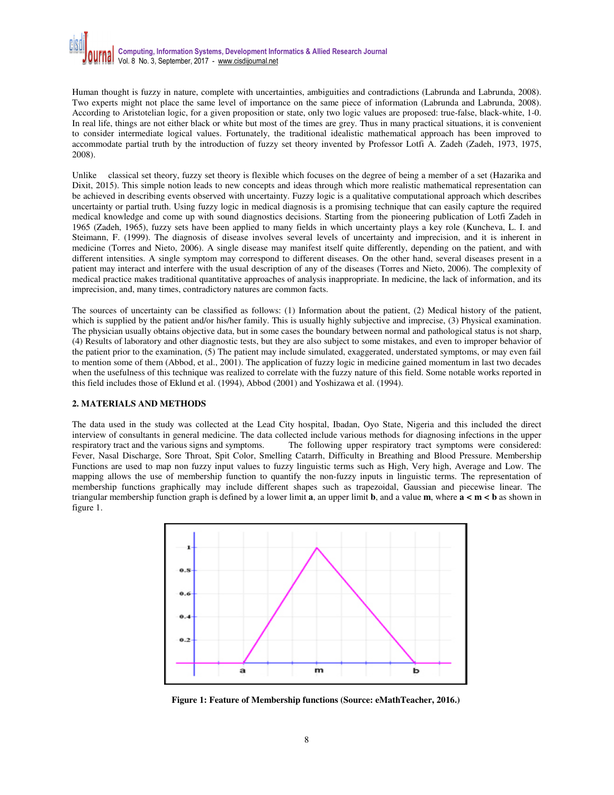Human thought is fuzzy in nature, complete with uncertainties, ambiguities and contradictions (Labrunda and Labrunda, 2008). Two experts might not place the same level of importance on the same piece of information (Labrunda and Labrunda, 2008). According to Aristotelian logic, for a given proposition or state, only two logic values are proposed: true-false, black-white, 1-0. In real life, things are not either black or white but most of the times are grey. Thus in many practical situations, it is convenient to consider intermediate logical values. Fortunately, the traditional idealistic mathematical approach has been improved to accommodate partial truth by the introduction of fuzzy set theory invented by Professor Lotfi A. Zadeh (Zadeh, 1973, 1975, 2008).

Unlike classical set theory, fuzzy set theory is flexible which focuses on the degree of being a member of a set (Hazarika and Dixit, 2015). This simple notion leads to new concepts and ideas through which more realistic mathematical representation can be achieved in describing events observed with uncertainty. Fuzzy logic is a qualitative computational approach which describes uncertainty or partial truth. Using fuzzy logic in medical diagnosis is a promising technique that can easily capture the required medical knowledge and come up with sound diagnostics decisions. Starting from the pioneering publication of Lotfi Zadeh in 1965 (Zadeh, 1965), fuzzy sets have been applied to many fields in which uncertainty plays a key role (Kuncheva, L. I. and Steimann, F. (1999). The diagnosis of disease involves several levels of uncertainty and imprecision, and it is inherent in medicine (Torres and Nieto, 2006). A single disease may manifest itself quite differently, depending on the patient, and with different intensities. A single symptom may correspond to different diseases. On the other hand, several diseases present in a patient may interact and interfere with the usual description of any of the diseases (Torres and Nieto, 2006). The complexity of medical practice makes traditional quantitative approaches of analysis inappropriate. In medicine, the lack of information, and its imprecision, and, many times, contradictory natures are common facts.

The sources of uncertainty can be classified as follows: (1) Information about the patient, (2) Medical history of the patient, which is supplied by the patient and/or his/her family. This is usually highly subjective and imprecise, (3) Physical examination. The physician usually obtains objective data, but in some cases the boundary between normal and pathological status is not sharp, (4) Results of laboratory and other diagnostic tests, but they are also subject to some mistakes, and even to improper behavior of the patient prior to the examination, (5) The patient may include simulated, exaggerated, understated symptoms, or may even fail to mention some of them (Abbod, et al., 2001). The application of fuzzy logic in medicine gained momentum in last two decades when the usefulness of this technique was realized to correlate with the fuzzy nature of this field. Some notable works reported in this field includes those of Eklund et al. (1994), Abbod (2001) and Yoshizawa et al. (1994).

### **2. MATERIALS AND METHODS**

The data used in the study was collected at the Lead City hospital, Ibadan, Oyo State, Nigeria and this included the direct interview of consultants in general medicine. The data collected include various methods for diagnosing infections in the upper respiratory tract and the various signs and symptoms. The following upper respiratory tract symptoms were considered: Fever, Nasal Discharge, Sore Throat, Spit Color, Smelling Catarrh, Difficulty in Breathing and Blood Pressure. Membership Functions are used to map non fuzzy input values to fuzzy linguistic terms such as High, Very high, Average and Low. The mapping allows the use of membership function to quantify the non-fuzzy inputs in linguistic terms. The representation of membership functions graphically may include different shapes such as trapezoidal, Gaussian and piecewise linear. The triangular membership function graph is defined by a lower limit **a**, an upper limit **b**, and a value **m**, where  $\mathbf{a} \leq \mathbf{m} \leq \mathbf{b}$  as shown in figure 1.



**Figure 1: Feature of Membership functions (Source: eMathTeacher, 2016.)**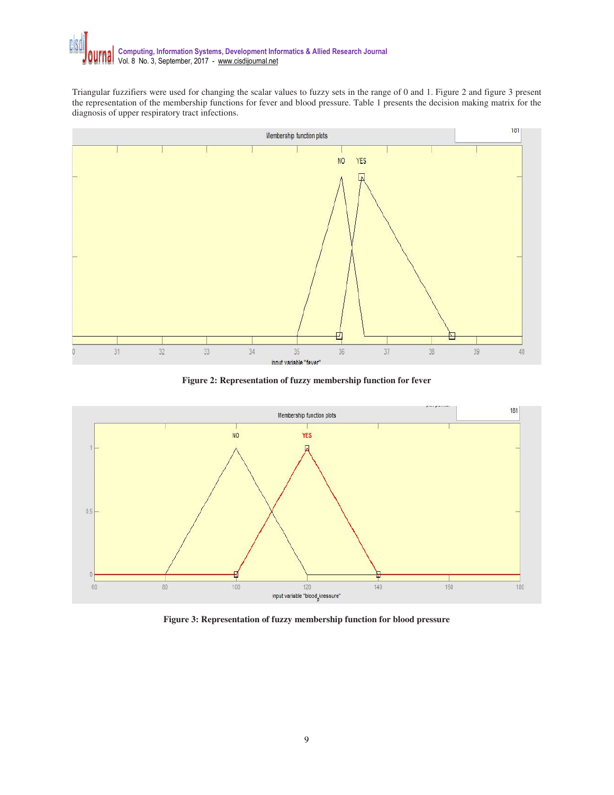Triangular fuzzifiers were used for changing the scalar values to fuzzy sets in the range of 0 and 1. Figure 2 and figure 3 present the representation of the membership functions for fever and blood pressure. Table 1 presents the decision making matrix for the diagnosis of upper respiratory tract infections.



**Figure 2: Representation of fuzzy membership function for fever** 



**Figure 3: Representation of fuzzy membership function for blood pressure**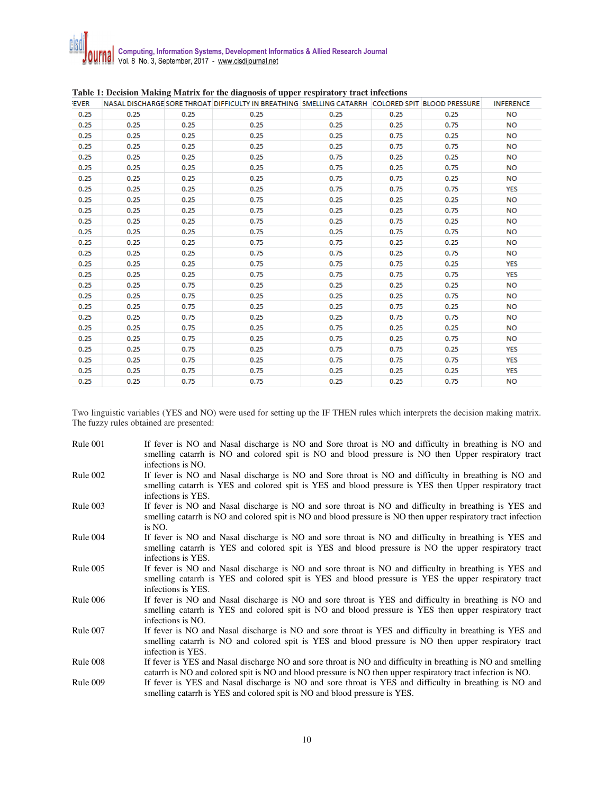|             |      |      | which is presented the compared of the angular of appear temperature, a measurement              |      |      |      |                  |
|-------------|------|------|--------------------------------------------------------------------------------------------------|------|------|------|------------------|
| <b>EVER</b> |      |      | NASAL DISCHARGE SORE THROAT DIFFICULTY IN BREATHING SMELLING CATARRH COLORED SPIT BLOOD PRESSURE |      |      |      | <b>INFERENCE</b> |
| 0.25        | 0.25 | 0.25 | 0.25                                                                                             | 0.25 | 0.25 | 0.25 | <b>NO</b>        |
| 0.25        | 0.25 | 0.25 | 0.25                                                                                             | 0.25 | 0.25 | 0.75 | <b>NO</b>        |
| 0.25        | 0.25 | 0.25 | 0.25                                                                                             | 0.25 | 0.75 | 0.25 | <b>NO</b>        |
| 0.25        | 0.25 | 0.25 | 0.25                                                                                             | 0.25 | 0.75 | 0.75 | <b>NO</b>        |
| 0.25        | 0.25 | 0.25 | 0.25                                                                                             | 0.75 | 0.25 | 0.25 | <b>NO</b>        |
| 0.25        | 0.25 | 0.25 | 0.25                                                                                             | 0.75 | 0.25 | 0.75 | <b>NO</b>        |
| 0.25        | 0.25 | 0.25 | 0.25                                                                                             | 0.75 | 0.75 | 0.25 | <b>NO</b>        |
| 0.25        | 0.25 | 0.25 | 0.25                                                                                             | 0.75 | 0.75 | 0.75 | <b>YES</b>       |
| 0.25        | 0.25 | 0.25 | 0.75                                                                                             | 0.25 | 0.25 | 0.25 | <b>NO</b>        |
| 0.25        | 0.25 | 0.25 | 0.75                                                                                             | 0.25 | 0.25 | 0.75 | <b>NO</b>        |
| 0.25        | 0.25 | 0.25 | 0.75                                                                                             | 0.25 | 0.75 | 0.25 | <b>NO</b>        |
| 0.25        | 0.25 | 0.25 | 0.75                                                                                             | 0.25 | 0.75 | 0.75 | <b>NO</b>        |
| 0.25        | 0.25 | 0.25 | 0.75                                                                                             | 0.75 | 0.25 | 0.25 | <b>NO</b>        |
| 0.25        | 0.25 | 0.25 | 0.75                                                                                             | 0.75 | 0.25 | 0.75 | <b>NO</b>        |
| 0.25        | 0.25 | 0.25 | 0.75                                                                                             | 0.75 | 0.75 | 0.25 | <b>YES</b>       |
| 0.25        | 0.25 | 0.25 | 0.75                                                                                             | 0.75 | 0.75 | 0.75 | <b>YES</b>       |
| 0.25        | 0.25 | 0.75 | 0.25                                                                                             | 0.25 | 0.25 | 0.25 | <b>NO</b>        |
| 0.25        | 0.25 | 0.75 | 0.25                                                                                             | 0.25 | 0.25 | 0.75 | <b>NO</b>        |
| 0.25        | 0.25 | 0.75 | 0.25                                                                                             | 0.25 | 0.75 | 0.25 | <b>NO</b>        |
| 0.25        | 0.25 | 0.75 | 0.25                                                                                             | 0.25 | 0.75 | 0.75 | <b>NO</b>        |
| 0.25        | 0.25 | 0.75 | 0.25                                                                                             | 0.75 | 0.25 | 0.25 | <b>NO</b>        |
| 0.25        | 0.25 | 0.75 | 0.25                                                                                             | 0.75 | 0.25 | 0.75 | <b>NO</b>        |
| 0.25        | 0.25 | 0.75 | 0.25                                                                                             | 0.75 | 0.75 | 0.25 | <b>YES</b>       |
| 0.25        | 0.25 | 0.75 | 0.25                                                                                             | 0.75 | 0.75 | 0.75 | <b>YES</b>       |
| 0.25        | 0.25 | 0.75 | 0.75                                                                                             | 0.25 | 0.25 | 0.25 | <b>YES</b>       |
| 0.25        | 0.25 | 0.75 | 0.75                                                                                             | 0.25 | 0.25 | 0.75 | <b>NO</b>        |
|             |      |      |                                                                                                  |      |      |      |                  |

| Table 1: Decision Making Matrix for the diagnosis of upper respiratory tract infections |  |  |
|-----------------------------------------------------------------------------------------|--|--|
|                                                                                         |  |  |

Two linguistic variables (YES and NO) were used for setting up the IF THEN rules which interprets the decision making matrix. The fuzzy rules obtained are presented:

| Rule 001 | If fever is NO and Nasal discharge is NO and Sore throat is NO and difficulty in breathing is NO and<br>smelling catarrh is NO and colored spit is NO and blood pressure is NO then Upper respiratory tract<br>infections is NO.     |
|----------|--------------------------------------------------------------------------------------------------------------------------------------------------------------------------------------------------------------------------------------|
| Rule 002 | If fever is NO and Nasal discharge is NO and Sore throat is NO and difficulty in breathing is NO and<br>smelling catarrh is YES and colored spit is YES and blood pressure is YES then Upper respiratory tract<br>infections is YES. |
| Rule 003 | If fever is NO and Nasal discharge is NO and sore throat is NO and difficulty in breathing is YES and<br>smelling catarrh is NO and colored spit is NO and blood pressure is NO then upper respiratory tract infection<br>is NO.     |
| Rule 004 | If fever is NO and Nasal discharge is NO and sore throat is NO and difficulty in breathing is YES and<br>smelling catarrh is YES and colored spit is YES and blood pressure is NO the upper respiratory tract<br>infections is YES.  |
| Rule 005 | If fever is NO and Nasal discharge is NO and sore throat is NO and difficulty in breathing is YES and<br>smelling catarrh is YES and colored spit is YES and blood pressure is YES the upper respiratory tract<br>infections is YES. |
| Rule 006 | If fever is NO and Nasal discharge is NO and sore throat is YES and difficulty in breathing is NO and<br>smelling catarrh is YES and colored spit is NO and blood pressure is YES then upper respiratory tract<br>infections is NO.  |
| Rule 007 | If fever is NO and Nasal discharge is NO and sore throat is YES and difficulty in breathing is YES and<br>smelling catarrh is NO and colored spit is YES and blood pressure is NO then upper respiratory tract<br>infection is YES.  |
| Rule 008 | If fever is YES and Nasal discharge NO and sore throat is NO and difficulty in breathing is NO and smelling<br>catarrh is NO and colored spit is NO and blood pressure is NO then upper respiratory tract infection is NO.           |
| Rule 009 | If fever is YES and Nasal discharge is NO and sore throat is YES and difficulty in breathing is NO and<br>smelling catarrh is YES and colored spit is NO and blood pressure is YES.                                                  |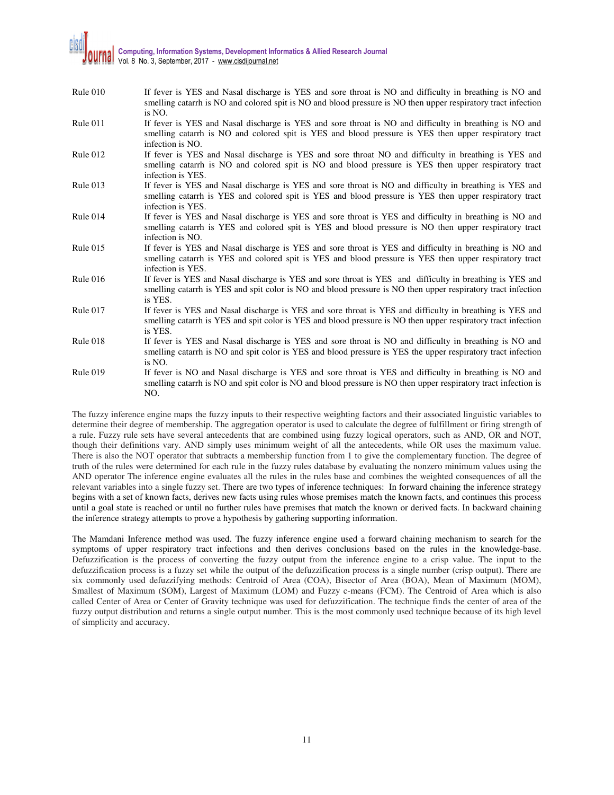# **Computing, Information Systems, Development Informatics & Allied Research Journal**  Vol. 8 No. 3, September, 2017 - www.cisdijournal.net

| Rule 010        | If fever is YES and Nasal discharge is YES and sore throat is NO and difficulty in breathing is NO and<br>smelling catarrh is NO and colored spit is NO and blood pressure is NO then upper respiratory tract infection<br>is NO.      |
|-----------------|----------------------------------------------------------------------------------------------------------------------------------------------------------------------------------------------------------------------------------------|
| Rule 011        | If fever is YES and Nasal discharge is YES and sore throat is NO and difficulty in breathing is NO and<br>smelling catarrh is NO and colored spit is YES and blood pressure is YES then upper respiratory tract<br>infection is NO.    |
| Rule $012$      | If fever is YES and Nasal discharge is YES and sore throat NO and difficulty in breathing is YES and<br>smelling catarrh is NO and colored spit is NO and blood pressure is YES then upper respiratory tract<br>infection is YES.      |
| Rule $013$      | If fever is YES and Nasal discharge is YES and sore throat is NO and difficulty in breathing is YES and<br>smelling catarrh is YES and colored spit is YES and blood pressure is YES then upper respiratory tract<br>infection is YES. |
| Rule 014        | If fever is YES and Nasal discharge is YES and sore throat is YES and difficulty in breathing is NO and<br>smelling catarrh is YES and colored spit is YES and blood pressure is NO then upper respiratory tract<br>infection is NO.   |
| Rule $015$      | If fever is YES and Nasal discharge is YES and sore throat is YES and difficulty in breathing is NO and<br>smelling catarrh is YES and colored spit is YES and blood pressure is YES then upper respiratory tract<br>infection is YES. |
| Rule $016$      | If fever is YES and Nasal discharge is YES and sore throat is YES and difficulty in breathing is YES and<br>smelling catarrh is YES and spit color is NO and blood pressure is NO then upper respiratory tract infection<br>is YES.    |
| Rule 017        | If fever is YES and Nasal discharge is YES and sore throat is YES and difficulty in breathing is YES and<br>smelling catarrh is YES and spit color is YES and blood pressure is NO then upper respiratory tract infection<br>is YES.   |
| Rule 018        | If fever is YES and Nasal discharge is YES and sore throat is NO and difficulty in breathing is NO and<br>smelling catarrh is NO and spit color is YES and blood pressure is YES the upper respiratory tract infection<br>is NO.       |
| <b>Rule 019</b> | If fever is NO and Nasal discharge is YES and sore throat is YES and difficulty in breathing is NO and<br>smelling catarrh is NO and spit color is NO and blood pressure is NO then upper respiratory tract infection is<br>NO.        |

The fuzzy inference engine maps the fuzzy inputs to their respective weighting factors and their associated linguistic variables to determine their degree of membership. The aggregation operator is used to calculate the degree of fulfillment or firing strength of a rule. Fuzzy rule sets have several antecedents that are combined using fuzzy logical operators, such as AND, OR and NOT, though their definitions vary. AND simply uses minimum weight of all the antecedents, while OR uses the maximum value. There is also the NOT operator that subtracts a membership function from 1 to give the complementary function. The degree of truth of the rules were determined for each rule in the fuzzy rules database by evaluating the nonzero minimum values using the AND operator The inference engine evaluates all the rules in the rules base and combines the weighted consequences of all the relevant variables into a single fuzzy set. There are two types of inference techniques: In forward chaining the inference strategy begins with a set of known facts, derives new facts using rules whose premises match the known facts, and continues this process until a goal state is reached or until no further rules have premises that match the known or derived facts. In backward chaining the inference strategy attempts to prove a hypothesis by gathering supporting information.

The Mamdani Inference method was used. The fuzzy inference engine used a forward chaining mechanism to search for the symptoms of upper respiratory tract infections and then derives conclusions based on the rules in the knowledge-base. Defuzzification is the process of converting the fuzzy output from the inference engine to a crisp value. The input to the defuzzification process is a fuzzy set while the output of the defuzzification process is a single number (crisp output). There are six commonly used defuzzifying methods: Centroid of Area (COA), Bisector of Area (BOA), Mean of Maximum (MOM), Smallest of Maximum (SOM), Largest of Maximum (LOM) and Fuzzy c-means (FCM). The Centroid of Area which is also called Center of Area or Center of Gravity technique was used for defuzzification. The technique finds the center of area of the fuzzy output distribution and returns a single output number. This is the most commonly used technique because of its high level of simplicity and accuracy.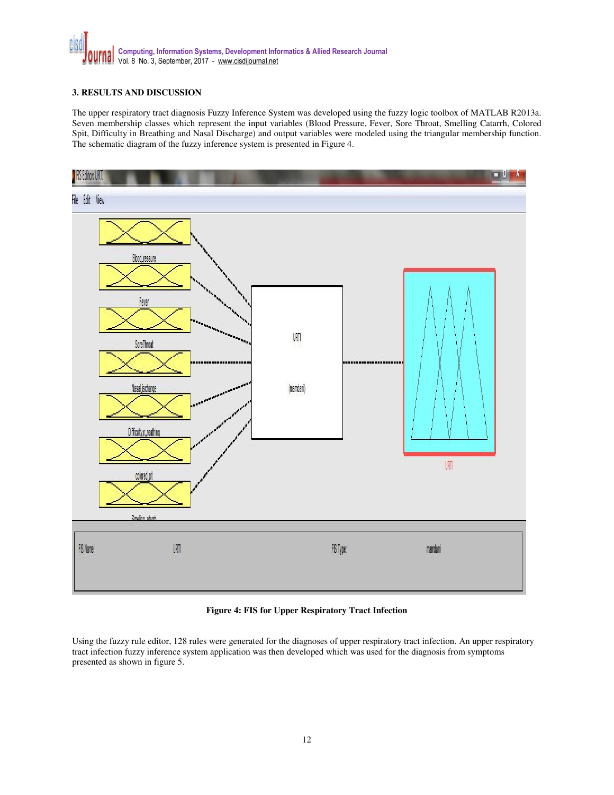

### **3. RESULTS AND DISCUSSION**

The upper respiratory tract diagnosis Fuzzy Inference System was developed using the fuzzy logic toolbox of MATLAB R2013a. Seven membership classes which represent the input variables (Blood Pressure, Fever, Sore Throat, Smelling Catarrh, Colored Spit, Difficulty in Breathing and Nasal Discharge) and output variables were modeled using the triangular membership function. The schematic diagram of the fuzzy inference system is presented in Figure 4.



### **Figure 4: FIS for Upper Respiratory Tract Infection**

Using the fuzzy rule editor, 128 rules were generated for the diagnoses of upper respiratory tract infection. An upper respiratory tract infection fuzzy inference system application was then developed which was used for the diagnosis from symptoms presented as shown in figure 5.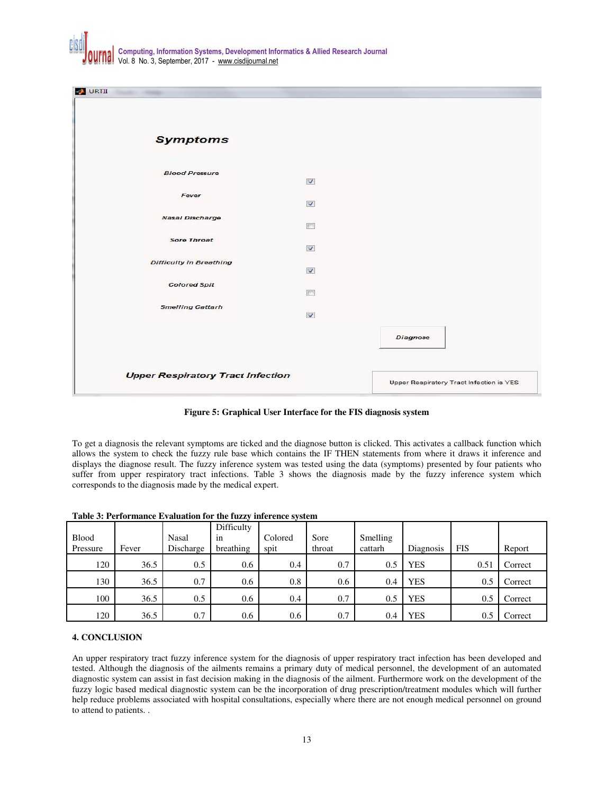

| <b>BI</b> URTII                |                                          |                 |  |
|--------------------------------|------------------------------------------|-----------------|--|
| <b>Symptoms</b>                |                                          |                 |  |
| <b>Blood Pressure</b>          | $\overline{\mathbf{v}}$                  |                 |  |
| Fever                          | $\overline{\mathbf{v}}$                  |                 |  |
| <b>Nasal Discharge</b>         | m                                        |                 |  |
| <b>Sore Throat</b>             | $\overline{\mathbf{v}}$                  |                 |  |
| <b>Difficulty in Breathing</b> | $\overline{v}$                           |                 |  |
| <b>Colored Spit</b>            | F                                        |                 |  |
| <b>Smelling Cattarh</b>        | $\overline{\mathbf{v}}$                  |                 |  |
|                                |                                          | <b>Diagnose</b> |  |
|                                |                                          |                 |  |
|                                | <b>Upper Respiratory Tract Infection</b> |                 |  |

**Figure 5: Graphical User Interface for the FIS diagnosis system** 

To get a diagnosis the relevant symptoms are ticked and the diagnose button is clicked. This activates a callback function which allows the system to check the fuzzy rule base which contains the IF THEN statements from where it draws it inference and displays the diagnose result. The fuzzy inference system was tested using the data (symptoms) presented by four patients who suffer from upper respiratory tract infections. Table 3 shows the diagnosis made by the fuzzy inference system which corresponds to the diagnosis made by the medical expert.

| <b>Blood</b><br>Pressure | Fever | <b>Nasal</b><br>Discharge | Difficulty<br>1n<br>breathing | Colored<br>spit | Sore<br>throat | Smelling<br>cattarh | Diagnosis  | <b>FIS</b> | Report  |
|--------------------------|-------|---------------------------|-------------------------------|-----------------|----------------|---------------------|------------|------------|---------|
| 120                      | 36.5  | 0.5                       | 0.6                           | 0.4             | 0.7            | 0.5                 | <b>YES</b> | 0.5        | Correct |
| 130                      | 36.5  | 0.7                       | 0.6                           | 0.8             | 0.6            | 0.4                 | <b>YES</b> | 0.5        | Correct |
| 100                      | 36.5  | $0.5^{\circ}$             | 0.6                           | 0.4             | 0.7            | 0.5                 | <b>YES</b> | 0.5        | Correct |
| 120                      | 36.5  | 0.7                       | 0.6                           | 0.6             | 0.7            | 0.4                 | <b>YES</b> | 0.5        | Correct |

**Table 3: Performance Evaluation for the fuzzy inference system** 

## **4. CONCLUSION**

An upper respiratory tract fuzzy inference system for the diagnosis of upper respiratory tract infection has been developed and tested. Although the diagnosis of the ailments remains a primary duty of medical personnel, the development of an automated diagnostic system can assist in fast decision making in the diagnosis of the ailment. Furthermore work on the development of the fuzzy logic based medical diagnostic system can be the incorporation of drug prescription/treatment modules which will further help reduce problems associated with hospital consultations, especially where there are not enough medical personnel on ground to attend to patients. .